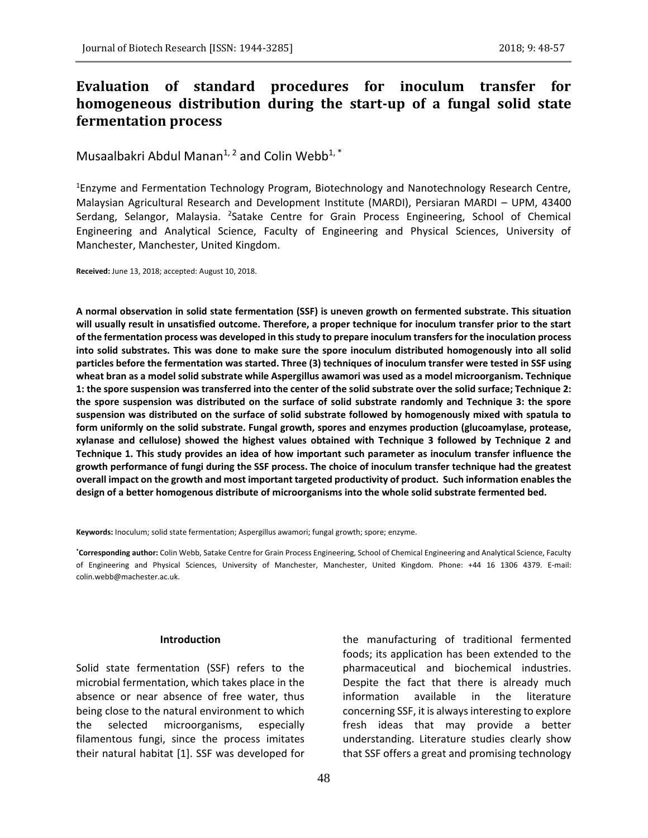# **Evaluation of standard procedures for inoculum transfer for homogeneous distribution during the start-up of a fungal solid state fermentation process**

Musaalbakri Abdul Manan<sup>1, 2</sup> and Colin Webb<sup>1, \*</sup>

<sup>1</sup>Enzyme and Fermentation Technology Program, Biotechnology and Nanotechnology Research Centre, Malaysian Agricultural Research and Development Institute (MARDI), Persiaran MARDI – UPM, 43400 Serdang, Selangor, Malaysia. <sup>2</sup>Satake Centre for Grain Process Engineering, School of Chemical Engineering and Analytical Science, Faculty of Engineering and Physical Sciences, University of Manchester, Manchester, United Kingdom.

**Received:** June 13, 2018; accepted: August 10, 2018.

**A normal observation in solid state fermentation (SSF) is uneven growth on fermented substrate. This situation will usually result in unsatisfied outcome. Therefore, a proper technique for inoculum transfer prior to the start of the fermentation process was developed in this study to prepare inoculum transfers for the inoculation process into solid substrates. This was done to make sure the spore inoculum distributed homogenously into all solid particles before the fermentation was started. Three (3) techniques of inoculum transfer were tested in SSF using wheat bran as a model solid substrate while Aspergillus awamori was used as a model microorganism. Technique 1: the spore suspension was transferred into the center of the solid substrate over the solid surface; Technique 2: the spore suspension was distributed on the surface of solid substrate randomly and Technique 3: the spore suspension was distributed on the surface of solid substrate followed by homogenously mixed with spatula to form uniformly on the solid substrate. Fungal growth, spores and enzymes production (glucoamylase, protease, xylanase and cellulose) showed the highest values obtained with Technique 3 followed by Technique 2 and Technique 1. This study provides an idea of how important such parameter as inoculum transfer influence the growth performance of fungi during the SSF process. The choice of inoculum transfer technique had the greatest overall impact on the growth and most important targeted productivity of product. Such information enables the design of a better homogenous distribute of microorganisms into the whole solid substrate fermented bed.**

**Keywords:** Inoculum; solid state fermentation; Aspergillus awamori; fungal growth; spore; enzyme.

**\*Corresponding author:** Colin Webb, Satake Centre for Grain Process Engineering, School of Chemical Engineering and Analytical Science, Faculty of Engineering and Physical Sciences, University of Manchester, Manchester, United Kingdom. Phone: +44 16 1306 4379. E-mail: colin.webb@machester.ac.uk.

### **Introduction**

Solid state fermentation (SSF) refers to the microbial fermentation, which takes place in the absence or near absence of free water, thus being close to the natural environment to which the selected microorganisms, especially filamentous fungi, since the process imitates their natural habitat [1]. SSF was developed for

the manufacturing of traditional fermented foods; its application has been extended to the pharmaceutical and biochemical industries. Despite the fact that there is already much information available in the literature concerning SSF, it is always interesting to explore fresh ideas that may provide a better understanding. Literature studies clearly show that SSF offers a great and promising technology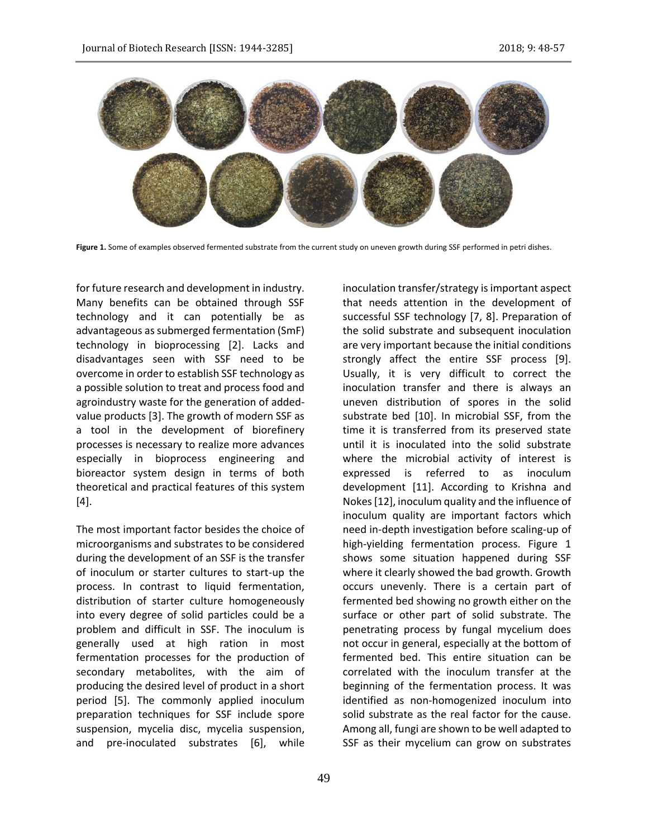

**Figure 1.** Some of examples observed fermented substrate from the current study on uneven growth during SSF performed in petri dishes.

for future research and development in industry. Many benefits can be obtained through SSF technology and it can potentially be as advantageous as submerged fermentation (SmF) technology in bioprocessing [2]. Lacks and disadvantages seen with SSF need to be overcome in order to establish SSF technology as a possible solution to treat and process food and agroindustry waste for the generation of addedvalue products [3]. The growth of modern SSF as a tool in the development of biorefinery processes is necessary to realize more advances especially in bioprocess engineering and bioreactor system design in terms of both theoretical and practical features of this system [4].

The most important factor besides the choice of microorganisms and substrates to be considered during the development of an SSF is the transfer of inoculum or starter cultures to start-up the process. In contrast to liquid fermentation, distribution of starter culture homogeneously into every degree of solid particles could be a problem and difficult in SSF. The inoculum is generally used at high ration in most fermentation processes for the production of secondary metabolites, with the aim of producing the desired level of product in a short period [5]. The commonly applied inoculum preparation techniques for SSF include spore suspension, mycelia disc, mycelia suspension, and pre-inoculated substrates [6], while

that needs attention in the development of successful SSF technology [7, 8]. Preparation of the solid substrate and subsequent inoculation are very important because the initial conditions strongly affect the entire SSF process [9]. Usually, it is very difficult to correct the inoculation transfer and there is always an uneven distribution of spores in the solid substrate bed [10]. In microbial SSF, from the time it is transferred from its preserved state until it is inoculated into the solid substrate where the microbial activity of interest is expressed is referred to as inoculum development [11]. According to Krishna and Nokes [12], inoculum quality and the influence of inoculum quality are important factors which need in-depth investigation before scaling-up of high-yielding fermentation process. Figure 1 shows some situation happened during SSF where it clearly showed the bad growth. Growth occurs unevenly. There is a certain part of fermented bed showing no growth either on the surface or other part of solid substrate. The penetrating process by fungal mycelium does not occur in general, especially at the bottom of fermented bed. This entire situation can be correlated with the inoculum transfer at the beginning of the fermentation process. It was identified as non-homogenized inoculum into solid substrate as the real factor for the cause. Among all, fungi are shown to be well adapted to SSF as their mycelium can grow on substrates

inoculation transfer/strategy is important aspect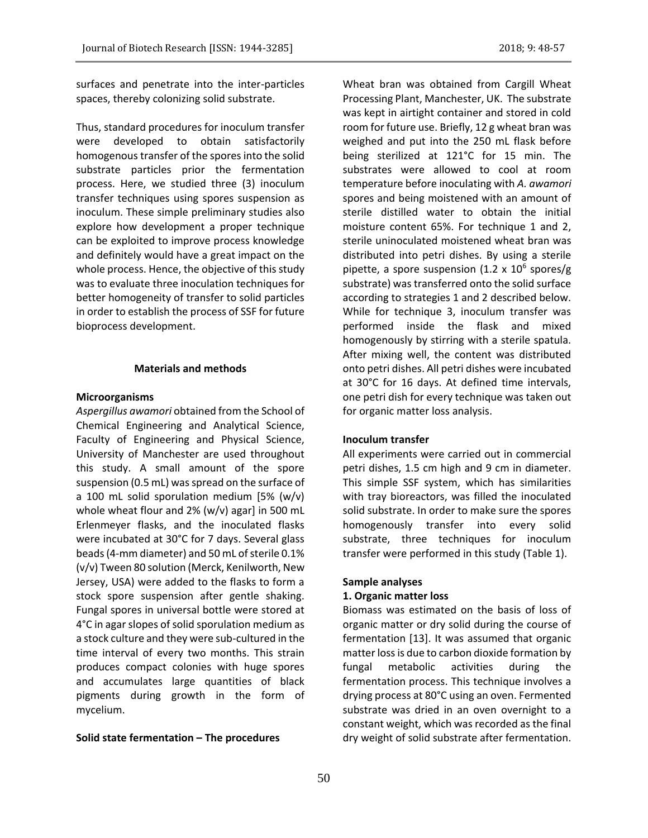surfaces and penetrate into the inter-particles spaces, thereby colonizing solid substrate.

Thus, standard procedures for inoculum transfer were developed to obtain satisfactorily homogenous transfer of the spores into the solid substrate particles prior the fermentation process. Here, we studied three (3) inoculum transfer techniques using spores suspension as inoculum. These simple preliminary studies also explore how development a proper technique can be exploited to improve process knowledge and definitely would have a great impact on the whole process. Hence, the objective of this study was to evaluate three inoculation techniques for better homogeneity of transfer to solid particles in order to establish the process of SSF for future bioprocess development.

# **Materials and methods**

### **Microorganisms**

*Aspergillus awamori* obtained from the School of Chemical Engineering and Analytical Science, Faculty of Engineering and Physical Science, University of Manchester are used throughout this study. A small amount of the spore suspension (0.5 mL) was spread on the surface of a 100 mL solid sporulation medium [5% (w/v) whole wheat flour and 2% (w/v) agar] in 500 mL Erlenmeyer flasks, and the inoculated flasks were incubated at 30°C for 7 days. Several glass beads (4-mm diameter) and 50 mL of sterile 0.1% (v/v) Tween 80 solution (Merck, Kenilworth, New Jersey, USA) were added to the flasks to form a stock spore suspension after gentle shaking. Fungal spores in universal bottle were stored at 4°C in agar slopes of solid sporulation medium as a stock culture and they were sub-cultured in the time interval of every two months. This strain produces compact colonies with huge spores and accumulates large quantities of black pigments during growth in the form of mycelium.

# **Solid state fermentation – The procedures**

Wheat bran was obtained from Cargill Wheat Processing Plant, Manchester, UK. The substrate was kept in airtight container and stored in cold room for future use. Briefly, 12 g wheat bran was weighed and put into the 250 mL flask before being sterilized at 121°C for 15 min. The substrates were allowed to cool at room temperature before inoculating with *A. awamori* spores and being moistened with an amount of sterile distilled water to obtain the initial moisture content 65%. For technique 1 and 2, sterile uninoculated moistened wheat bran was distributed into petri dishes. By using a sterile pipette, a spore suspension (1.2 x 10<sup>6</sup> spores/g substrate) was transferred onto the solid surface according to strategies 1 and 2 described below. While for technique 3, inoculum transfer was performed inside the flask and mixed homogenously by stirring with a sterile spatula. After mixing well, the content was distributed onto petri dishes. All petri dishes were incubated at 30°C for 16 days. At defined time intervals, one petri dish for every technique was taken out for organic matter loss analysis.

### **Inoculum transfer**

All experiments were carried out in commercial petri dishes, 1.5 cm high and 9 cm in diameter. This simple SSF system, which has similarities with tray bioreactors, was filled the inoculated solid substrate. In order to make sure the spores homogenously transfer into every solid substrate, three techniques for inoculum transfer were performed in this study (Table 1).

### **Sample analyses**

#### **1. Organic matter loss**

Biomass was estimated on the basis of loss of organic matter or dry solid during the course of fermentation [13]. It was assumed that organic matter loss is due to carbon dioxide formation by fungal metabolic activities during the fermentation process. This technique involves a drying process at 80°C using an oven. Fermented substrate was dried in an oven overnight to a constant weight, which was recorded as the final dry weight of solid substrate after fermentation.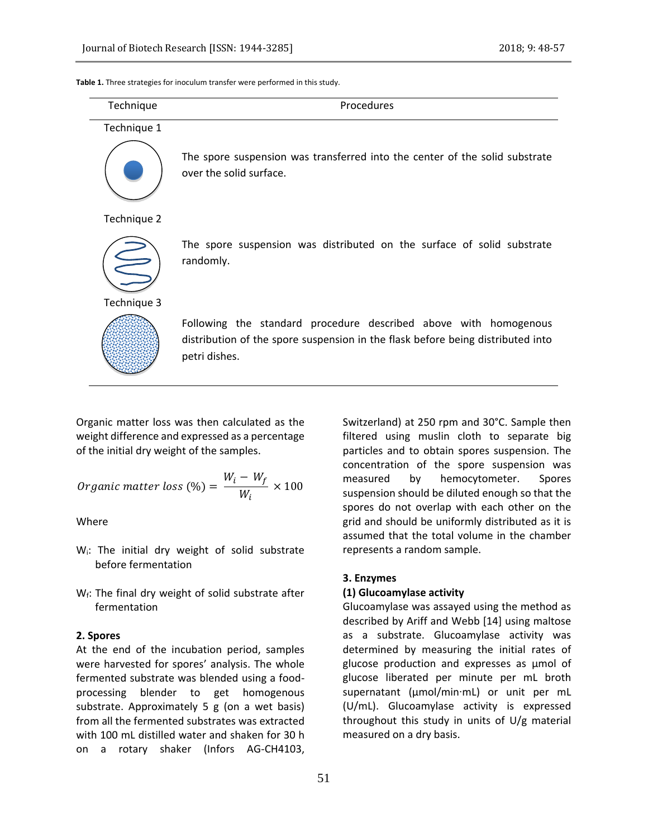**Table 1.** Three strategies for inoculum transfer were performed in this study.

| Technique   | Procedures                                                                                                                                                           |  |  |
|-------------|----------------------------------------------------------------------------------------------------------------------------------------------------------------------|--|--|
| Technique 1 |                                                                                                                                                                      |  |  |
|             | The spore suspension was transferred into the center of the solid substrate<br>over the solid surface.                                                               |  |  |
| Technique 2 |                                                                                                                                                                      |  |  |
|             | The spore suspension was distributed on the surface of solid substrate<br>randomly.                                                                                  |  |  |
| Technique 3 |                                                                                                                                                                      |  |  |
|             | Following the standard procedure described above with homogenous<br>distribution of the spore suspension in the flask before being distributed into<br>petri dishes. |  |  |
|             |                                                                                                                                                                      |  |  |

Organic matter loss was then calculated as the weight difference and expressed as a percentage of the initial dry weight of the samples.

*Organic matter loss* (%) = 
$$
\frac{W_i - W_f}{W_i} \times 100
$$

Where

- W<sub>i</sub>: The initial dry weight of solid substrate before fermentation
- $W_f$ : The final dry weight of solid substrate after fermentation

### **2. Spores**

At the end of the incubation period, samples were harvested for spores' analysis. The whole fermented substrate was blended using a foodprocessing blender to get homogenous substrate. Approximately 5 g (on a wet basis) from all the fermented substrates was extracted with 100 mL distilled water and shaken for 30 h on a rotary shaker (Infors AG-CH4103,

Switzerland) at 250 rpm and 30°C. Sample then filtered using muslin cloth to separate big particles and to obtain spores suspension. The concentration of the spore suspension was measured by hemocytometer. Spores suspension should be diluted enough so that the spores do not overlap with each other on the grid and should be uniformly distributed as it is assumed that the total volume in the chamber represents a random sample.

# **3. Enzymes**

# **(1) Glucoamylase activity**

Glucoamylase was assayed using the method as described by Ariff and Webb [14] using maltose as a substrate. Glucoamylase activity was determined by measuring the initial rates of glucose production and expresses as μmol of glucose liberated per minute per mL broth supernatant (μmol/min∙mL) or unit per mL (U/mL). Glucoamylase activity is expressed throughout this study in units of U/g material measured on a dry basis.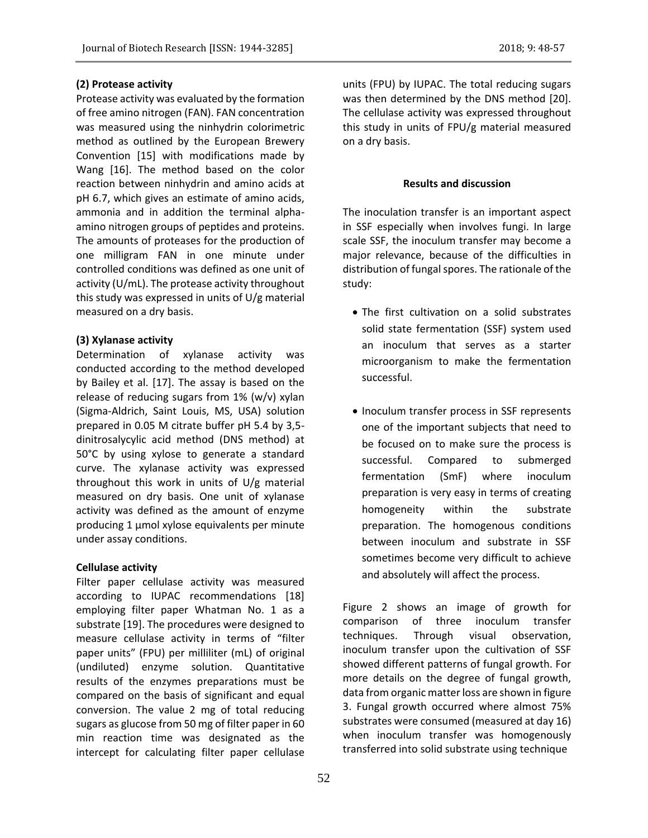# **(2) Protease activity**

Protease activity was evaluated by the formation of free amino nitrogen (FAN). FAN concentration was measured using the ninhydrin colorimetric method as outlined by the European Brewery Convention [15] with modifications made by Wang [16]. The method based on the color reaction between ninhydrin and amino acids at pH 6.7, which gives an estimate of amino acids, ammonia and in addition the terminal alphaamino nitrogen groups of peptides and proteins. The amounts of proteases for the production of one milligram FAN in one minute under controlled conditions was defined as one unit of activity (U/mL). The protease activity throughout this study was expressed in units of U/g material measured on a dry basis.

### **(3) Xylanase activity**

Determination of xylanase activity was conducted according to the method developed by Bailey et al. [17]. The assay is based on the release of reducing sugars from 1% (w/v) xylan (Sigma-Aldrich, Saint Louis, MS, USA) solution prepared in 0.05 M citrate buffer pH 5.4 by 3,5 dinitrosalycylic acid method (DNS method) at 50°C by using xylose to generate a standard curve. The xylanase activity was expressed throughout this work in units of U/g material measured on dry basis. One unit of xylanase activity was defined as the amount of enzyme producing 1 µmol xylose equivalents per minute under assay conditions.

### **Cellulase activity**

Filter paper cellulase activity was measured according to IUPAC recommendations [18] employing filter paper Whatman No. 1 as a substrate [19]. The procedures were designed to measure cellulase activity in terms of "filter paper units" (FPU) per milliliter (mL) of original (undiluted) enzyme solution. Quantitative results of the enzymes preparations must be compared on the basis of significant and equal conversion. The value 2 mg of total reducing sugars as glucose from 50 mg of filter paper in 60 min reaction time was designated as the intercept for calculating filter paper cellulase units (FPU) by IUPAC. The total reducing sugars was then determined by the DNS method [20]. The cellulase activity was expressed throughout this study in units of FPU/g material measured on a dry basis.

### **Results and discussion**

The inoculation transfer is an important aspect in SSF especially when involves fungi. In large scale SSF, the inoculum transfer may become a major relevance, because of the difficulties in distribution of fungal spores. The rationale of the study:

- The first cultivation on a solid substrates solid state fermentation (SSF) system used an inoculum that serves as a starter microorganism to make the fermentation successful.
- Inoculum transfer process in SSF represents one of the important subjects that need to be focused on to make sure the process is successful. Compared to submerged fermentation (SmF) where inoculum preparation is very easy in terms of creating homogeneity within the substrate preparation. The homogenous conditions between inoculum and substrate in SSF sometimes become very difficult to achieve and absolutely will affect the process.

Figure 2 shows an image of growth for comparison of three inoculum transfer techniques. Through visual observation, inoculum transfer upon the cultivation of SSF showed different patterns of fungal growth. For more details on the degree of fungal growth, data from organic matter loss are shown in figure 3. Fungal growth occurred where almost 75% substrates were consumed (measured at day 16) when inoculum transfer was homogenously transferred into solid substrate using technique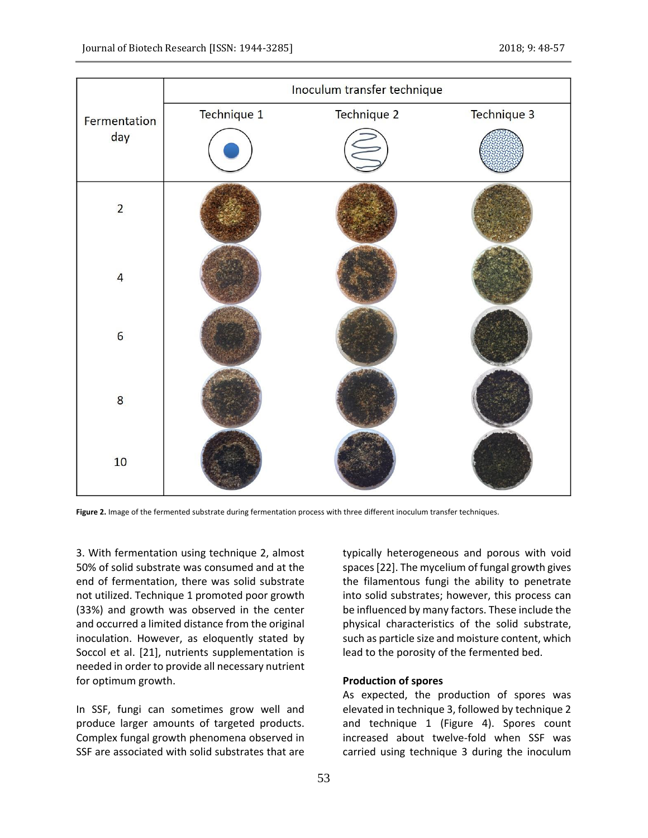|                     | Inoculum transfer technique |                    |             |
|---------------------|-----------------------------|--------------------|-------------|
| Fermentation<br>day | Technique 1                 | <b>Technique 2</b> | Technique 3 |
|                     |                             |                    |             |
| $\overline{2}$      |                             |                    |             |
| $\overline{4}$      |                             |                    |             |
| $6\phantom{a}6$     |                             |                    |             |
| 8                   |                             |                    |             |
| $10$                |                             |                    |             |

**Figure 2.** Image of the fermented substrate during fermentation process with three different inoculum transfer techniques.

3. With fermentation using technique 2, almost 50% of solid substrate was consumed and at the end of fermentation, there was solid substrate not utilized. Technique 1 promoted poor growth (33%) and growth was observed in the center and occurred a limited distance from the original inoculation. However, as eloquently stated by Soccol et al. [21], nutrients supplementation is needed in order to provide all necessary nutrient for optimum growth.

In SSF, fungi can sometimes grow well and produce larger amounts of targeted products. Complex fungal growth phenomena observed in SSF are associated with solid substrates that are typically heterogeneous and porous with void spaces [22]. The mycelium of fungal growth gives the filamentous fungi the ability to penetrate into solid substrates; however, this process can be influenced by many factors. These include the physical characteristics of the solid substrate, such as particle size and moisture content, which lead to the porosity of the fermented bed.

### **Production of spores**

As expected, the production of spores was elevated in technique 3, followed by technique 2 and technique 1 (Figure 4). Spores count increased about twelve-fold when SSF was carried using technique 3 during the inoculum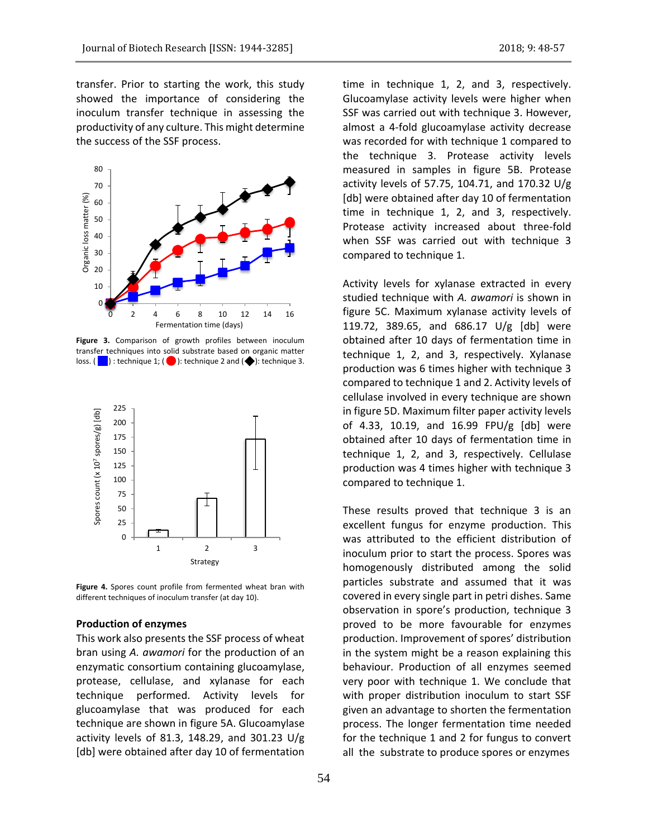transfer. Prior to starting the work, this study showed the importance of considering the inoculum transfer technique in assessing the productivity of any culture. This might determine the success of the SSF process.



**Figure 3.** Comparison of growth profiles between inoculum transfer techniques into solid substrate based on organic matter loss. ( $\Box$ ): technique 1; ( $\Box$ ): technique 2 and ( $\blacklozenge$ ): technique 3.



**Figure 4.** Spores count profile from fermented wheat bran with different techniques of inoculum transfer (at day 10).

#### **Production of enzymes**

This work also presents the SSF process of wheat bran using *A. awamori* for the production of an enzymatic consortium containing glucoamylase, protease, cellulase, and xylanase for each technique performed. Activity levels for glucoamylase that was produced for each technique are shown in figure 5A. Glucoamylase activity levels of 81.3, 148.29, and 301.23 U/g [db] were obtained after day 10 of fermentation time in technique 1, 2, and 3, respectively. Glucoamylase activity levels were higher when SSF was carried out with technique 3. However, almost a 4-fold glucoamylase activity decrease was recorded for with technique 1 compared to the technique 3. Protease activity levels measured in samples in figure 5B. Protease activity levels of 57.75, 104.71, and 170.32 U/g [db] were obtained after day 10 of fermentation time in technique 1, 2, and 3, respectively. Protease activity increased about three-fold when SSF was carried out with technique 3 compared to technique 1.

Activity levels for xylanase extracted in every studied technique with *A. awamori* is shown in figure 5C. Maximum xylanase activity levels of 119.72, 389.65, and 686.17 U/g [db] were obtained after 10 days of fermentation time in technique 1, 2, and 3, respectively. Xylanase production was 6 times higher with technique 3 compared to technique 1 and 2. Activity levels of cellulase involved in every technique are shown in figure 5D. Maximum filter paper activity levels of 4.33, 10.19, and 16.99 FPU/g [db] were obtained after 10 days of fermentation time in technique 1, 2, and 3, respectively. Cellulase production was 4 times higher with technique 3 compared to technique 1.

These results proved that technique 3 is an excellent fungus for enzyme production. This was attributed to the efficient distribution of inoculum prior to start the process. Spores was homogenously distributed among the solid particles substrate and assumed that it was covered in every single part in petri dishes. Same observation in spore's production, technique 3 proved to be more favourable for enzymes production. Improvement of spores' distribution in the system might be a reason explaining this behaviour. Production of all enzymes seemed very poor with technique 1. We conclude that with proper distribution inoculum to start SSF given an advantage to shorten the fermentation process. The longer fermentation time needed for the technique 1 and 2 for fungus to convert all the substrate to produce spores or enzymes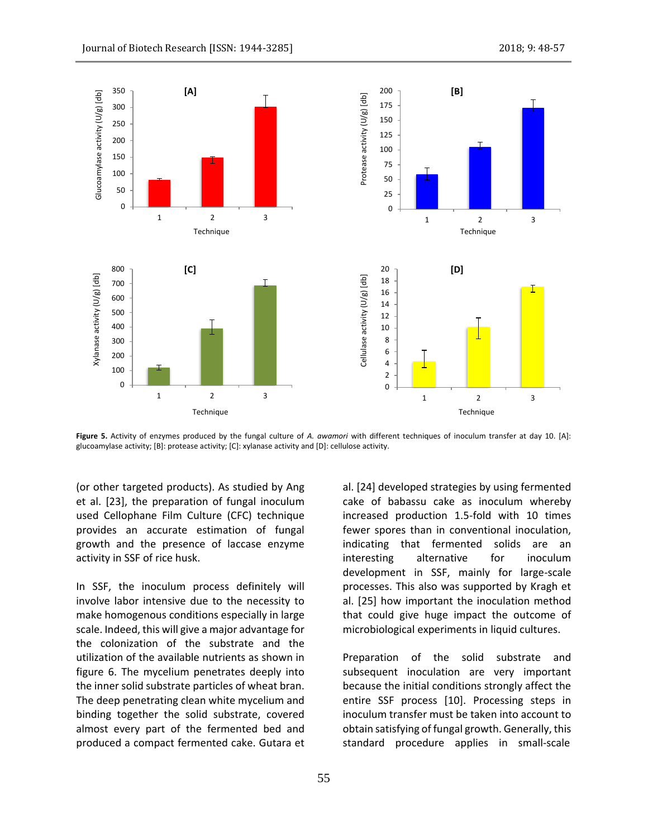

**Figure 5.** Activity of enzymes produced by the fungal culture of *A. awamori* with different techniques of inoculum transfer at day 10. [A]: glucoamylase activity; [B]: protease activity; [C]: xylanase activity and [D]: cellulose activity.

(or other targeted products). As studied by Ang et al. [23], the preparation of fungal inoculum used Cellophane Film Culture (CFC) technique provides an accurate estimation of fungal growth and the presence of laccase enzyme activity in SSF of rice husk.

In SSF, the inoculum process definitely will involve labor intensive due to the necessity to make homogenous conditions especially in large scale. Indeed, this will give a major advantage for the colonization of the substrate and the utilization of the available nutrients as shown in figure 6. The mycelium penetrates deeply into the inner solid substrate particles of wheat bran. The deep penetrating clean white mycelium and binding together the solid substrate, covered almost every part of the fermented bed and produced a compact fermented cake. Gutara et al. [24] developed strategies by using fermented cake of babassu cake as inoculum whereby increased production 1.5-fold with 10 times fewer spores than in conventional inoculation, indicating that fermented solids are an interesting alternative for inoculum development in SSF, mainly for large-scale processes. This also was supported by Kragh et al. [25] how important the inoculation method that could give huge impact the outcome of microbiological experiments in liquid cultures.

Preparation of the solid substrate and subsequent inoculation are very important because the initial conditions strongly affect the entire SSF process [10]. Processing steps in inoculum transfer must be taken into account to obtain satisfying of fungal growth. Generally, this standard procedure applies in small-scale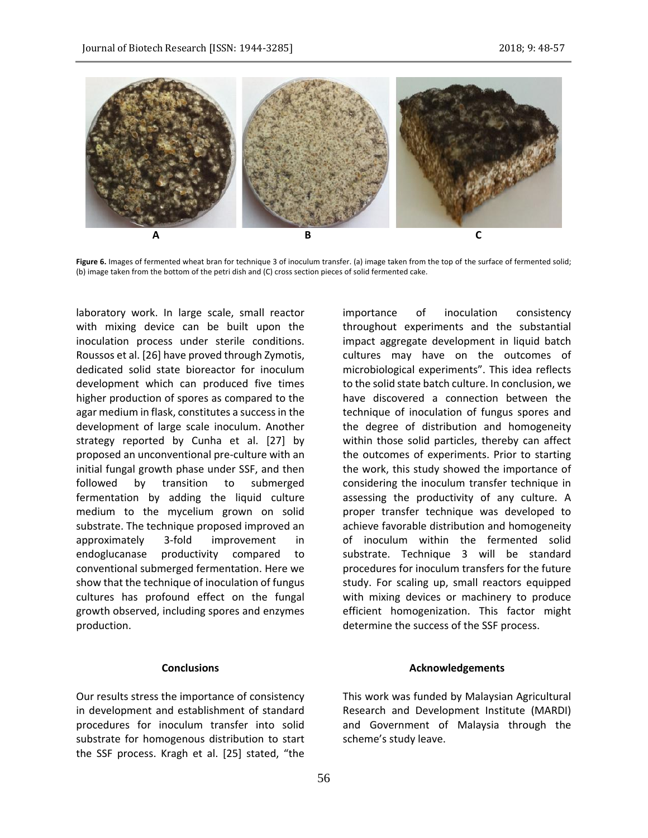

**Figure 6.** Images of fermented wheat bran for technique 3 of inoculum transfer. (a) image taken from the top of the surface of fermented solid; (b) image taken from the bottom of the petri dish and (C) cross section pieces of solid fermented cake.

laboratory work. In large scale, small reactor with mixing device can be built upon the inoculation process under sterile conditions. Roussos et al. [26] have proved through Zymotis, dedicated solid state bioreactor for inoculum development which can produced five times higher production of spores as compared to the agar medium in flask, constitutes a success in the development of large scale inoculum. Another strategy reported by Cunha et al. [27] by proposed an unconventional pre-culture with an initial fungal growth phase under SSF, and then followed by transition to submerged fermentation by adding the liquid culture medium to the mycelium grown on solid substrate. The technique proposed improved an approximately 3-fold improvement in endoglucanase productivity compared to conventional submerged fermentation. Here we show that the technique of inoculation of fungus cultures has profound effect on the fungal growth observed, including spores and enzymes production.

### **Conclusions**

Our results stress the importance of consistency in development and establishment of standard procedures for inoculum transfer into solid substrate for homogenous distribution to start the SSF process. Kragh et al. [25] stated, "the

importance of inoculation consistency throughout experiments and the substantial impact aggregate development in liquid batch cultures may have on the outcomes of microbiological experiments". This idea reflects to the solid state batch culture. In conclusion, we have discovered a connection between the technique of inoculation of fungus spores and the degree of distribution and homogeneity within those solid particles, thereby can affect the outcomes of experiments. Prior to starting the work, this study showed the importance of considering the inoculum transfer technique in assessing the productivity of any culture. A proper transfer technique was developed to achieve favorable distribution and homogeneity of inoculum within the fermented solid substrate. Technique 3 will be standard procedures for inoculum transfers for the future study. For scaling up, small reactors equipped with mixing devices or machinery to produce efficient homogenization. This factor might determine the success of the SSF process.

### **Acknowledgements**

This work was funded by Malaysian Agricultural Research and Development Institute (MARDI) and Government of Malaysia through the scheme's study leave.